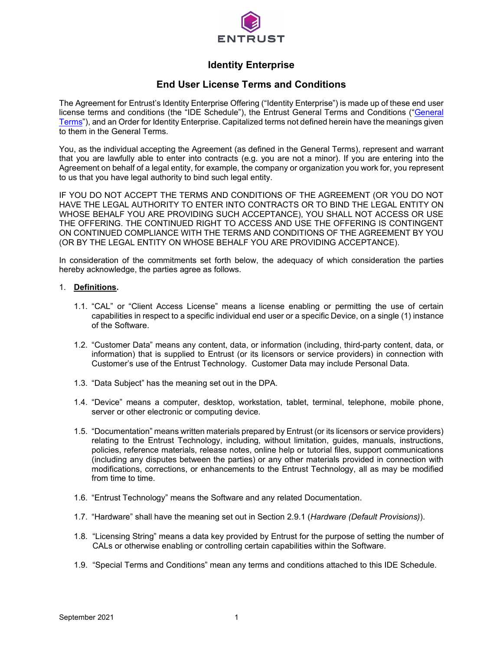

# **Identity Enterprise**

# **End User License Terms and Conditions**

The Agreement for Entrust's Identity Enterprise Offering ("Identity Enterprise") is made up of these end user license terms and conditions (the "IDE Schedule"), the Entrust General Terms and Conditions ("General [Terms"](https://www.entrust.com/-/media/documentation/licensingandagreements/entrust-general-terms-1.pdf)), and an Order for Identity Enterprise. Capitalized terms not defined herein have the meanings given to them in the General Terms.

You, as the individual accepting the Agreement (as defined in the General Terms), represent and warrant that you are lawfully able to enter into contracts (e.g. you are not a minor). If you are entering into the Agreement on behalf of a legal entity, for example, the company or organization you work for, you represent to us that you have legal authority to bind such legal entity.

IF YOU DO NOT ACCEPT THE TERMS AND CONDITIONS OF THE AGREEMENT (OR YOU DO NOT HAVE THE LEGAL AUTHORITY TO ENTER INTO CONTRACTS OR TO BIND THE LEGAL ENTITY ON WHOSE BEHALF YOU ARE PROVIDING SUCH ACCEPTANCE), YOU SHALL NOT ACCESS OR USE THE OFFERING. THE CONTINUED RIGHT TO ACCESS AND USE THE OFFERING IS CONTINGENT ON CONTINUED COMPLIANCE WITH THE TERMS AND CONDITIONS OF THE AGREEMENT BY YOU (OR BY THE LEGAL ENTITY ON WHOSE BEHALF YOU ARE PROVIDING ACCEPTANCE).

In consideration of the commitments set forth below, the adequacy of which consideration the parties hereby acknowledge, the parties agree as follows.

## 1. **Definitions.**

- 1.1. "CAL" or "Client Access License" means a license enabling or permitting the use of certain capabilities in respect to a specific individual end user or a specific Device, on a single (1) instance of the Software.
- 1.2. "Customer Data" means any content, data, or information (including, third-party content, data, or information) that is supplied to Entrust (or its licensors or service providers) in connection with Customer's use of the Entrust Technology. Customer Data may include Personal Data.
- 1.3. "Data Subject" has the meaning set out in the DPA.
- 1.4. "Device" means a computer, desktop, workstation, tablet, terminal, telephone, mobile phone, server or other electronic or computing device.
- 1.5. "Documentation" means written materials prepared by Entrust (or its licensors or service providers) relating to the Entrust Technology, including, without limitation, guides, manuals, instructions, policies, reference materials, release notes, online help or tutorial files, support communications (including any disputes between the parties) or any other materials provided in connection with modifications, corrections, or enhancements to the Entrust Technology, all as may be modified from time to time.
- 1.6. "Entrust Technology" means the Software and any related Documentation.
- 1.7. "Hardware" shall have the meaning set out in Section 2.9.1 (*Hardware (Default Provisions)*).
- 1.8. "Licensing String" means a data key provided by Entrust for the purpose of setting the number of CALs or otherwise enabling or controlling certain capabilities within the Software.
- 1.9. "Special Terms and Conditions" mean any terms and conditions attached to this IDE Schedule.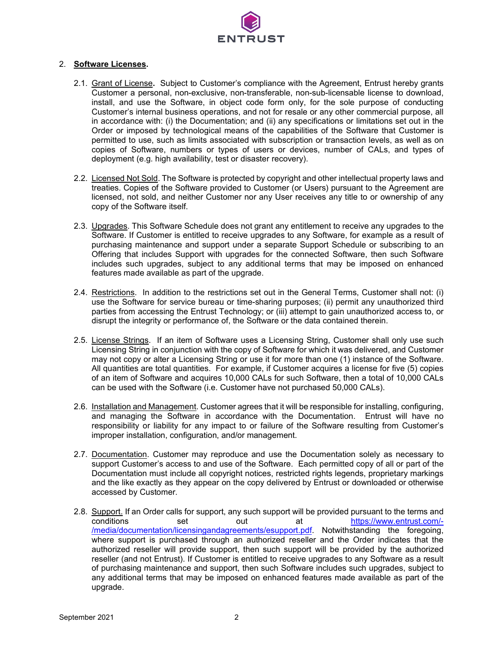

#### 2. **Software Licenses.**

- 2.1. Grant of License**.** Subject to Customer's compliance with the Agreement, Entrust hereby grants Customer a personal, non-exclusive, non-transferable, non-sub-licensable license to download, install, and use the Software, in object code form only, for the sole purpose of conducting Customer's internal business operations, and not for resale or any other commercial purpose, all in accordance with: (i) the Documentation; and (ii) any specifications or limitations set out in the Order or imposed by technological means of the capabilities of the Software that Customer is permitted to use, such as limits associated with subscription or transaction levels, as well as on copies of Software, numbers or types of users or devices, number of CALs, and types of deployment (e.g. high availability, test or disaster recovery).
- 2.2. Licensed Not Sold. The Software is protected by copyright and other intellectual property laws and treaties. Copies of the Software provided to Customer (or Users) pursuant to the Agreement are licensed, not sold, and neither Customer nor any User receives any title to or ownership of any copy of the Software itself.
- 2.3. Upgrades. This Software Schedule does not grant any entitlement to receive any upgrades to the Software. If Customer is entitled to receive upgrades to any Software, for example as a result of purchasing maintenance and support under a separate Support Schedule or subscribing to an Offering that includes Support with upgrades for the connected Software, then such Software includes such upgrades, subject to any additional terms that may be imposed on enhanced features made available as part of the upgrade.
- 2.4. Restrictions. In addition to the restrictions set out in the General Terms, Customer shall not: (i) use the Software for service bureau or time-sharing purposes; (ii) permit any unauthorized third parties from accessing the Entrust Technology; or (iii) attempt to gain unauthorized access to, or disrupt the integrity or performance of, the Software or the data contained therein.
- 2.5. License Strings. If an item of Software uses a Licensing String, Customer shall only use such Licensing String in conjunction with the copy of Software for which it was delivered, and Customer may not copy or alter a Licensing String or use it for more than one (1) instance of the Software. All quantities are total quantities. For example, if Customer acquires a license for five (5) copies of an item of Software and acquires 10,000 CALs for such Software, then a total of 10,000 CALs can be used with the Software (i.e. Customer have not purchased 50,000 CALs).
- 2.6. Installation and Management. Customer agrees that it will be responsible for installing, configuring, and managing the Software in accordance with the Documentation. Entrust will have no responsibility or liability for any impact to or failure of the Software resulting from Customer's improper installation, configuration, and/or management.
- 2.7. Documentation. Customer may reproduce and use the Documentation solely as necessary to support Customer's access to and use of the Software. Each permitted copy of all or part of the Documentation must include all copyright notices, restricted rights legends, proprietary markings and the like exactly as they appear on the copy delivered by Entrust or downloaded or otherwise accessed by Customer.
- 2.8. Support. If an Order calls for support, any such support will be provided pursuant to the terms and conditions set out at [https://www.entrust.com/-](https://www.entrust.com/-/media/documentation/licensingandagreements/esupport.pdf) [/media/documentation/licensingandagreements/esupport.pdf.](https://www.entrust.com/-/media/documentation/licensingandagreements/esupport.pdf) Notwithstanding the foregoing, where support is purchased through an authorized reseller and the Order indicates that the authorized reseller will provide support, then such support will be provided by the authorized reseller (and not Entrust). If Customer is entitled to receive upgrades to any Software as a result of purchasing maintenance and support, then such Software includes such upgrades, subject to any additional terms that may be imposed on enhanced features made available as part of the upgrade.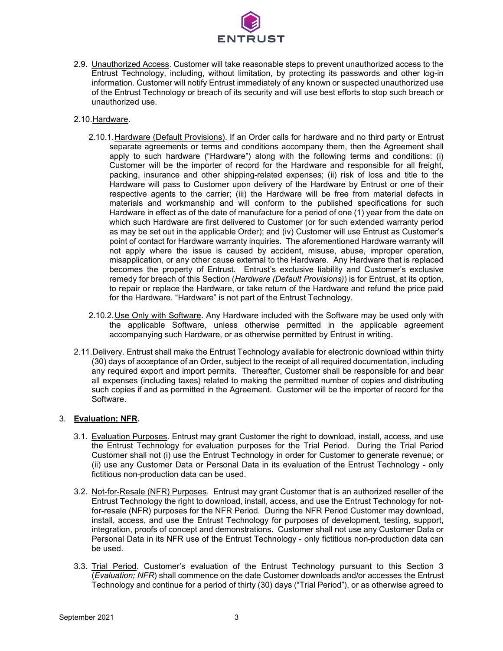

2.9. Unauthorized Access. Customer will take reasonable steps to prevent unauthorized access to the Entrust Technology, including, without limitation, by protecting its passwords and other log-in information. Customer will notify Entrust immediately of any known or suspected unauthorized use of the Entrust Technology or breach of its security and will use best efforts to stop such breach or unauthorized use.

## 2.10.Hardware.

- 2.10.1.Hardware (Default Provisions). If an Order calls for hardware and no third party or Entrust separate agreements or terms and conditions accompany them, then the Agreement shall apply to such hardware ("Hardware") along with the following terms and conditions: (i) Customer will be the importer of record for the Hardware and responsible for all freight, packing, insurance and other shipping-related expenses; (ii) risk of loss and title to the Hardware will pass to Customer upon delivery of the Hardware by Entrust or one of their respective agents to the carrier; (iii) the Hardware will be free from material defects in materials and workmanship and will conform to the published specifications for such Hardware in effect as of the date of manufacture for a period of one (1) year from the date on which such Hardware are first delivered to Customer (or for such extended warranty period as may be set out in the applicable Order); and (iv) Customer will use Entrust as Customer's point of contact for Hardware warranty inquiries. The aforementioned Hardware warranty will not apply where the issue is caused by accident, misuse, abuse, improper operation, misapplication, or any other cause external to the Hardware. Any Hardware that is replaced becomes the property of Entrust. Entrust's exclusive liability and Customer's exclusive remedy for breach of this Section (*Hardware (Default Provisions)*) is for Entrust, at its option, to repair or replace the Hardware, or take return of the Hardware and refund the price paid for the Hardware. "Hardware" is not part of the Entrust Technology.
- 2.10.2. Use Only with Software. Any Hardware included with the Software may be used only with the applicable Software, unless otherwise permitted in the applicable agreement accompanying such Hardware, or as otherwise permitted by Entrust in writing.
- 2.11. Delivery. Entrust shall make the Entrust Technology available for electronic download within thirty (30) days of acceptance of an Order, subject to the receipt of all required documentation, including any required export and import permits. Thereafter, Customer shall be responsible for and bear all expenses (including taxes) related to making the permitted number of copies and distributing such copies if and as permitted in the Agreement. Customer will be the importer of record for the Software.

# 3. **Evaluation; NFR.**

- 3.1. Evaluation Purposes. Entrust may grant Customer the right to download, install, access, and use the Entrust Technology for evaluation purposes for the Trial Period. During the Trial Period Customer shall not (i) use the Entrust Technology in order for Customer to generate revenue; or (ii) use any Customer Data or Personal Data in its evaluation of the Entrust Technology - only fictitious non-production data can be used.
- 3.2. Not-for-Resale (NFR) Purposes. Entrust may grant Customer that is an authorized reseller of the Entrust Technology the right to download, install, access, and use the Entrust Technology for notfor-resale (NFR) purposes for the NFR Period. During the NFR Period Customer may download, install, access, and use the Entrust Technology for purposes of development, testing, support, integration, proofs of concept and demonstrations. Customer shall not use any Customer Data or Personal Data in its NFR use of the Entrust Technology - only fictitious non-production data can be used.
- 3.3. Trial Period. Customer's evaluation of the Entrust Technology pursuant to this Section 3 (*Evaluation; NFR*) shall commence on the date Customer downloads and/or accesses the Entrust Technology and continue for a period of thirty (30) days ("Trial Period"), or as otherwise agreed to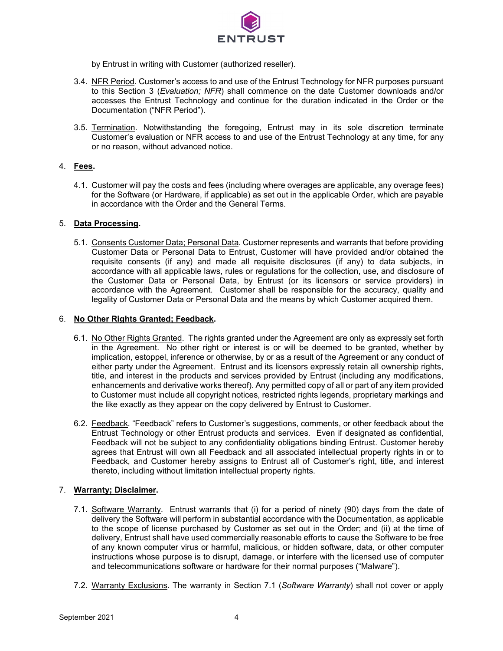

by Entrust in writing with Customer (authorized reseller).

- 3.4. NFR Period. Customer's access to and use of the Entrust Technology for NFR purposes pursuant to this Section 3 (*Evaluation; NFR*) shall commence on the date Customer downloads and/or accesses the Entrust Technology and continue for the duration indicated in the Order or the Documentation ("NFR Period").
- 3.5. Termination. Notwithstanding the foregoing, Entrust may in its sole discretion terminate Customer's evaluation or NFR access to and use of the Entrust Technology at any time, for any or no reason, without advanced notice.

## 4. **Fees.**

4.1. Customer will pay the costs and fees (including where overages are applicable, any overage fees) for the Software (or Hardware, if applicable) as set out in the applicable Order, which are payable in accordance with the Order and the General Terms.

#### 5. **Data Processing.**

5.1. Consents Customer Data; Personal Data. Customer represents and warrants that before providing Customer Data or Personal Data to Entrust, Customer will have provided and/or obtained the requisite consents (if any) and made all requisite disclosures (if any) to data subjects, in accordance with all applicable laws, rules or regulations for the collection, use, and disclosure of the Customer Data or Personal Data, by Entrust (or its licensors or service providers) in accordance with the Agreement. Customer shall be responsible for the accuracy, quality and legality of Customer Data or Personal Data and the means by which Customer acquired them.

## 6. **No Other Rights Granted; Feedback.**

- 6.1. No Other Rights Granted. The rights granted under the Agreement are only as expressly set forth in the Agreement. No other right or interest is or will be deemed to be granted, whether by implication, estoppel, inference or otherwise, by or as a result of the Agreement or any conduct of either party under the Agreement. Entrust and its licensors expressly retain all ownership rights, title, and interest in the products and services provided by Entrust (including any modifications, enhancements and derivative works thereof). Any permitted copy of all or part of any item provided to Customer must include all copyright notices, restricted rights legends, proprietary markings and the like exactly as they appear on the copy delivered by Entrust to Customer.
- 6.2. Feedback. "Feedback" refers to Customer's suggestions, comments, or other feedback about the Entrust Technology or other Entrust products and services. Even if designated as confidential, Feedback will not be subject to any confidentiality obligations binding Entrust. Customer hereby agrees that Entrust will own all Feedback and all associated intellectual property rights in or to Feedback, and Customer hereby assigns to Entrust all of Customer's right, title, and interest thereto, including without limitation intellectual property rights.

# 7. **Warranty; Disclaimer.**

- 7.1. Software Warranty. Entrust warrants that (i) for a period of ninety (90) days from the date of delivery the Software will perform in substantial accordance with the Documentation, as applicable to the scope of license purchased by Customer as set out in the Order; and (ii) at the time of delivery, Entrust shall have used commercially reasonable efforts to cause the Software to be free of any known computer virus or harmful, malicious, or hidden software, data, or other computer instructions whose purpose is to disrupt, damage, or interfere with the licensed use of computer and telecommunications software or hardware for their normal purposes ("Malware").
- 7.2. Warranty Exclusions. The warranty in Section 7.1 (*Software Warranty*) shall not cover or apply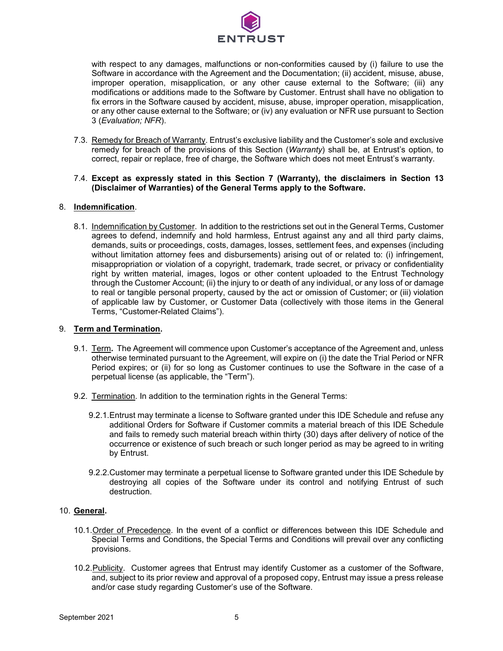

with respect to any damages, malfunctions or non-conformities caused by (i) failure to use the Software in accordance with the Agreement and the Documentation; (ii) accident, misuse, abuse, improper operation, misapplication, or any other cause external to the Software; (iii) any modifications or additions made to the Software by Customer. Entrust shall have no obligation to fix errors in the Software caused by accident, misuse, abuse, improper operation, misapplication, or any other cause external to the Software; or (iv) any evaluation or NFR use pursuant to Section 3 (*Evaluation; NFR*).

7.3. Remedy for Breach of Warranty. Entrust's exclusive liability and the Customer's sole and exclusive remedy for breach of the provisions of this Section (*Warranty*) shall be, at Entrust's option, to correct, repair or replace, free of charge, the Software which does not meet Entrust's warranty.

#### 7.4. **Except as expressly stated in this Section 7 (Warranty), the disclaimers in Section 13 (Disclaimer of Warranties) of the General Terms apply to the Software.**

## 8. **Indemnification**.

8.1. Indemnification by Customer. In addition to the restrictions set out in the General Terms, Customer agrees to defend, indemnify and hold harmless, Entrust against any and all third party claims, demands, suits or proceedings, costs, damages, losses, settlement fees, and expenses (including without limitation attorney fees and disbursements) arising out of or related to: (i) infringement, misappropriation or violation of a copyright, trademark, trade secret, or privacy or confidentiality right by written material, images, logos or other content uploaded to the Entrust Technology through the Customer Account; (ii) the injury to or death of any individual, or any loss of or damage to real or tangible personal property, caused by the act or omission of Customer; or (iii) violation of applicable law by Customer, or Customer Data (collectively with those items in the General Terms, "Customer-Related Claims").

#### 9. **Term and Termination.**

- 9.1. Term**.** The Agreement will commence upon Customer's acceptance of the Agreement and, unless otherwise terminated pursuant to the Agreement, will expire on (i) the date the Trial Period or NFR Period expires; or (ii) for so long as Customer continues to use the Software in the case of a perpetual license (as applicable, the "Term").
- 9.2. Termination. In addition to the termination rights in the General Terms:
	- 9.2.1.Entrust may terminate a license to Software granted under this IDE Schedule and refuse any additional Orders for Software if Customer commits a material breach of this IDE Schedule and fails to remedy such material breach within thirty (30) days after delivery of notice of the occurrence or existence of such breach or such longer period as may be agreed to in writing by Entrust.
	- 9.2.2.Customer may terminate a perpetual license to Software granted under this IDE Schedule by destroying all copies of the Software under its control and notifying Entrust of such destruction.

# 10. **General.**

- 10.1.Order of Precedence. In the event of a conflict or differences between this IDE Schedule and Special Terms and Conditions, the Special Terms and Conditions will prevail over any conflicting provisions.
- 10.2.Publicity. Customer agrees that Entrust may identify Customer as a customer of the Software, and, subject to its prior review and approval of a proposed copy, Entrust may issue a press release and/or case study regarding Customer's use of the Software.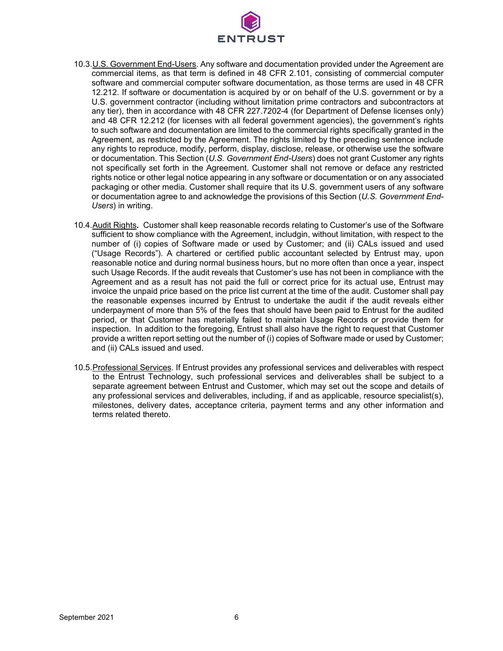

- 10.3.U.S. Government End-Users. Any software and documentation provided under the Agreement are commercial items, as that term is defined in 48 CFR 2.101, consisting of commercial computer software and commercial computer software documentation, as those terms are used in 48 CFR 12.212. If software or documentation is acquired by or on behalf of the U.S. government or by a U.S. government contractor (including without limitation prime contractors and subcontractors at any tier), then in accordance with 48 CFR 227.7202-4 (for Department of Defense licenses only) and 48 CFR 12.212 (for licenses with all federal government agencies), the government's rights to such software and documentation are limited to the commercial rights specifically granted in the Agreement, as restricted by the Agreement. The rights limited by the preceding sentence include any rights to reproduce, modify, perform, display, disclose, release, or otherwise use the software or documentation. This Section (*U.S. Government End-Users*) does not grant Customer any rights not specifically set forth in the Agreement. Customer shall not remove or deface any restricted rights notice or other legal notice appearing in any software or documentation or on any associated packaging or other media. Customer shall require that its U.S. government users of any software or documentation agree to and acknowledge the provisions of this Section (*U.S. Government End-Users*) in writing.
- 10.4.Audit Rights**.** Customer shall keep reasonable records relating to Customer's use of the Software sufficient to show compliance with the Agreement, includgin, without limitation, with respect to the number of (i) copies of Software made or used by Customer; and (ii) CALs issued and used ("Usage Records"). A chartered or certified public accountant selected by Entrust may, upon reasonable notice and during normal business hours, but no more often than once a year, inspect such Usage Records. If the audit reveals that Customer's use has not been in compliance with the Agreement and as a result has not paid the full or correct price for its actual use, Entrust may invoice the unpaid price based on the price list current at the time of the audit. Customer shall pay the reasonable expenses incurred by Entrust to undertake the audit if the audit reveals either underpayment of more than 5% of the fees that should have been paid to Entrust for the audited period, or that Customer has materially failed to maintain Usage Records or provide them for inspection. In addition to the foregoing, Entrust shall also have the right to request that Customer provide a written report setting out the number of (i) copies of Software made or used by Customer; and (ii) CALs issued and used.
- 10.5.Professional Services. If Entrust provides any professional services and deliverables with respect to the Entrust Technology, such professional services and deliverables shall be subject to a separate agreement between Entrust and Customer, which may set out the scope and details of any professional services and deliverables, including, if and as applicable, resource specialist(s), milestones, delivery dates, acceptance criteria, payment terms and any other information and terms related thereto.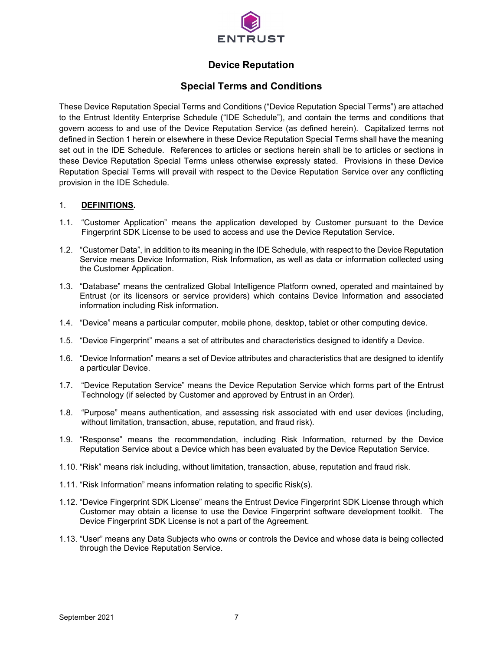

# **Device Reputation**

# **Special Terms and Conditions**

These Device Reputation Special Terms and Conditions ("Device Reputation Special Terms") are attached to the Entrust Identity Enterprise Schedule ("IDE Schedule"), and contain the terms and conditions that govern access to and use of the Device Reputation Service (as defined herein). Capitalized terms not defined in Section 1 herein or elsewhere in these Device Reputation Special Terms shall have the meaning set out in the IDE Schedule. References to articles or sections herein shall be to articles or sections in these Device Reputation Special Terms unless otherwise expressly stated. Provisions in these Device Reputation Special Terms will prevail with respect to the Device Reputation Service over any conflicting provision in the IDE Schedule.

#### 1. **DEFINITIONS.**

- 1.1. "Customer Application" means the application developed by Customer pursuant to the Device Fingerprint SDK License to be used to access and use the Device Reputation Service.
- 1.2. "Customer Data", in addition to its meaning in the IDE Schedule, with respect to the Device Reputation Service means Device Information, Risk Information, as well as data or information collected using the Customer Application.
- 1.3. "Database" means the centralized Global Intelligence Platform owned, operated and maintained by Entrust (or its licensors or service providers) which contains Device Information and associated information including Risk information.
- 1.4. "Device" means a particular computer, mobile phone, desktop, tablet or other computing device.
- 1.5. "Device Fingerprint" means a set of attributes and characteristics designed to identify a Device.
- 1.6. "Device Information" means a set of Device attributes and characteristics that are designed to identify a particular Device.
- 1.7. "Device Reputation Service" means the Device Reputation Service which forms part of the Entrust Technology (if selected by Customer and approved by Entrust in an Order).
- 1.8. "Purpose" means authentication, and assessing risk associated with end user devices (including, without limitation, transaction, abuse, reputation, and fraud risk).
- 1.9. "Response" means the recommendation, including Risk Information, returned by the Device Reputation Service about a Device which has been evaluated by the Device Reputation Service.
- 1.10. "Risk" means risk including, without limitation, transaction, abuse, reputation and fraud risk.
- 1.11. "Risk Information" means information relating to specific Risk(s).
- 1.12. "Device Fingerprint SDK License" means the Entrust Device Fingerprint SDK License through which Customer may obtain a license to use the Device Fingerprint software development toolkit. The Device Fingerprint SDK License is not a part of the Agreement.
- 1.13. "User" means any Data Subjects who owns or controls the Device and whose data is being collected through the Device Reputation Service.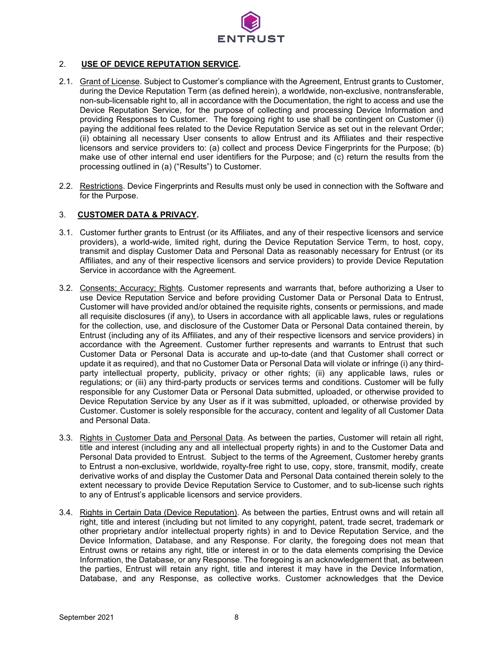

## 2. **USE OF DEVICE REPUTATION SERVICE.**

- 2.1. Grant of License. Subject to Customer's compliance with the Agreement, Entrust grants to Customer, during the Device Reputation Term (as defined herein), a worldwide, non-exclusive, nontransferable, non-sub-licensable right to, all in accordance with the Documentation, the right to access and use the Device Reputation Service, for the purpose of collecting and processing Device Information and providing Responses to Customer. The foregoing right to use shall be contingent on Customer (i) paying the additional fees related to the Device Reputation Service as set out in the relevant Order; (ii) obtaining all necessary User consents to allow Entrust and its Affiliates and their respective licensors and service providers to: (a) collect and process Device Fingerprints for the Purpose; (b) make use of other internal end user identifiers for the Purpose; and (c) return the results from the processing outlined in (a) ("Results") to Customer.
- 2.2. Restrictions. Device Fingerprints and Results must only be used in connection with the Software and for the Purpose.

## 3. **CUSTOMER DATA & PRIVACY.**

- 3.1. Customer further grants to Entrust (or its Affiliates, and any of their respective licensors and service providers), a world-wide, limited right, during the Device Reputation Service Term, to host, copy, transmit and display Customer Data and Personal Data as reasonably necessary for Entrust (or its Affiliates, and any of their respective licensors and service providers) to provide Device Reputation Service in accordance with the Agreement.
- 3.2. Consents; Accuracy; Rights. Customer represents and warrants that, before authorizing a User to use Device Reputation Service and before providing Customer Data or Personal Data to Entrust, Customer will have provided and/or obtained the requisite rights, consents or permissions, and made all requisite disclosures (if any), to Users in accordance with all applicable laws, rules or regulations for the collection, use, and disclosure of the Customer Data or Personal Data contained therein, by Entrust (including any of its Affiliates, and any of their respective licensors and service providers) in accordance with the Agreement. Customer further represents and warrants to Entrust that such Customer Data or Personal Data is accurate and up-to-date (and that Customer shall correct or update it as required), and that no Customer Data or Personal Data will violate or infringe (i) any thirdparty intellectual property, publicity, privacy or other rights; (ii) any applicable laws, rules or regulations; or (iii) any third-party products or services terms and conditions. Customer will be fully responsible for any Customer Data or Personal Data submitted, uploaded, or otherwise provided to Device Reputation Service by any User as if it was submitted, uploaded, or otherwise provided by Customer. Customer is solely responsible for the accuracy, content and legality of all Customer Data and Personal Data.
- 3.3. Rights in Customer Data and Personal Data. As between the parties, Customer will retain all right, title and interest (including any and all intellectual property rights) in and to the Customer Data and Personal Data provided to Entrust. Subject to the terms of the Agreement, Customer hereby grants to Entrust a non-exclusive, worldwide, royalty-free right to use, copy, store, transmit, modify, create derivative works of and display the Customer Data and Personal Data contained therein solely to the extent necessary to provide Device Reputation Service to Customer, and to sub-license such rights to any of Entrust's applicable licensors and service providers.
- 3.4. Rights in Certain Data (Device Reputation). As between the parties, Entrust owns and will retain all right, title and interest (including but not limited to any copyright, patent, trade secret, trademark or other proprietary and/or intellectual property rights) in and to Device Reputation Service, and the Device Information, Database, and any Response. For clarity, the foregoing does not mean that Entrust owns or retains any right, title or interest in or to the data elements comprising the Device Information, the Database, or any Response. The foregoing is an acknowledgement that, as between the parties, Entrust will retain any right, title and interest it may have in the Device Information, Database, and any Response, as collective works. Customer acknowledges that the Device